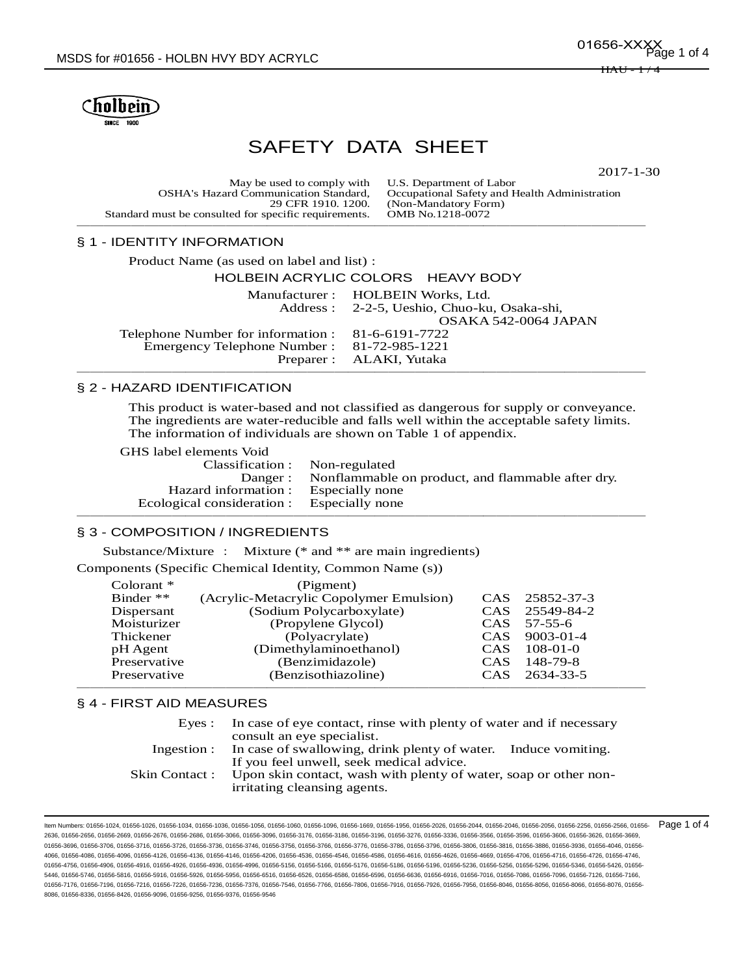

# SAFETY DATA SHEET

2017-1-30

| May be used to comply with U.S. Department of Labor   |                                               |
|-------------------------------------------------------|-----------------------------------------------|
| <b>OSHA's Hazard Communication Standard.</b>          | Occupational Safety and Health Administration |
| 29 CFR 1910, 1200.                                    | (Non-Mandatory Form)                          |
| Standard must be consulted for specific requirements. | OMB No.1218-0072                              |
|                                                       |                                               |

# § 1 - IDENTITY INFORMATION

| Product Name (as used on label and list) :        |                                             |
|---------------------------------------------------|---------------------------------------------|
|                                                   | HOLBEIN ACRYLIC COLORS HEAVY BODY           |
|                                                   | Manufacturer: HOLBEIN Works, Ltd.           |
|                                                   | Address: 2-2-5, Ueshio, Chuo-ku, Osaka-shi, |
|                                                   | OSAKA 542-0064 JAPAN                        |
| Telephone Number for information : 81-6-6191-7722 |                                             |
| Emergency Telephone Number: 81-72-985-1221        |                                             |
|                                                   | Preparer : ALAKI, Yutaka                    |
|                                                   |                                             |

## § 2 - HAZARD IDENTIFICATION

This product is water-based and not classified as dangerous for supply or conveyance. The ingredients are water-reducible and falls well within the acceptable safety limits. The information of individuals are shown on Table 1 of appendix.

GHS label elements Void

| Classification : Non-regulated             |                                                           |
|--------------------------------------------|-----------------------------------------------------------|
|                                            | Danger: Nonflammable on product, and flammable after dry. |
| Hazard information : Especially none       |                                                           |
| Ecological consideration : Especially none |                                                           |
|                                            |                                                           |

#### § 3 - COMPOSITION / INGREDIENTS

Substance/Mixture : Mixture (\* and \*\* are main ingredients)

Components (Specific Chemical Identity, Common Name (s))

| Colorant $*$ | (Pigment)                               |                  |                |
|--------------|-----------------------------------------|------------------|----------------|
| Binder $**$  | (Acrylic-Metacrylic Copolymer Emulsion) |                  | CAS 25852-37-3 |
| Dispersant   | (Sodium Polycarboxylate)                |                  | CAS 25549-84-2 |
| Moisturizer  | (Propylene Glycol)                      | <b>CAS</b>       | 57-55-6        |
| Thickener    | (Polyacrylate)                          |                  | CAS 9003-01-4  |
| pH Agent     | (Dimethylaminoethanol)                  | <b>CAS</b>       | $108-01-0$     |
| Preservative | (Benzimidazole)                         | CAS <sup>.</sup> | 148-79-8       |
| Preservative | (Benzisothiazoline)                     | CAS <sup>.</sup> | 2634-33-5      |

#### § 4 - FIRST AID MEASURES

| Eves:         | In case of eye contact, rinse with plenty of water and if necessary<br>consult an eye specialist. |  |  |
|---------------|---------------------------------------------------------------------------------------------------|--|--|
|               | Ingestion : In case of swallowing, drink plenty of water. Induce vomiting.                        |  |  |
|               | If you feel unwell, seek medical advice.                                                          |  |  |
| Skin Contact: | Upon skin contact, wash with plenty of water, soap or other non-                                  |  |  |
|               | irritating cleansing agents.                                                                      |  |  |

ltem Numbers: 01656-1024, 01656-1026, 01656-1034, 01656-1036, 01656-1056, 01656-1060, 01656-1096, 01656-1096, 01656-2056, 01656-2026, 01656-2044, 01656-2046, 01656-2056, 01656-2056, 01656-2566, 01656-2566, 01656-2566, 0165 2636, 01656-2656, 01656-2669, 01656-2676, 01656-2686, 01656-3096, 01656-3176, 01656-3186, 01656-3196, 01656-3276, 01656-3336, 01656-3566, 01656-3506, 01656-3606, 01656-3626, 01656-3526, 01656-3506, 01656-3626, 01656-3626, 0 01656-3696, 01656-3706, 01656-3716, 01656-3726, 01656-3736, 01656-3746, 01656-3756, 01656-3766, 01656-3776, 01656-3786, 01656-3796, 01656-3806, 01656-3816, 01656-3886, 01656-3936, 01656-4046, 01656- 4066, 01656-4086, 01656-4096, 01656-4126, 01656-4136, 01656-4146, 01656-4206, 01656-4536, 01656-4546, 01656-4586, 01656-4616, 01656-4626, 01656-4669, 01656-4706, 01656-4716, 01656-4726, 01656-4746, 01656-4756, 01656-4906, 01656-4916, 01656-4926, 01656-4936, 01656-5156, 01656-5166, 01656-5176, 01656-5186, 01656-5286, 01656-5236, 01656-5256, 01656-5296, 01656-5296, 01656-5296, 01656-5296, 01656-5296, 01656-5236, 01656-5 5446, 01656-5746, 01656-5816, 01656-5916, 01656-5926, 01656-5956, 01656-6516, 01656-6586, 01656-6596, 01656-6586, 01656-6916, 01656-6916, 01656-7086, 01656-7096, 01656-7096, 01656-7096, 01656-7096, 01656-7096, 01656-7126, 0 01656-7176, 01656-7196, 01656-7216, 01656-7226, 01656-7376, 01656-7376, 01656-7546, 01656-79766, 01656-7906, 01656-7916, 01656-7926, 01656-7956, 01656-8046, 01656-8056, 01656-8066, 01656-8056, 01656-8066, 01656-8076, 01656-8086, 01656-8336, 01656-8426, 01656-9096, 01656-9256, 01656-9376, 01656-9546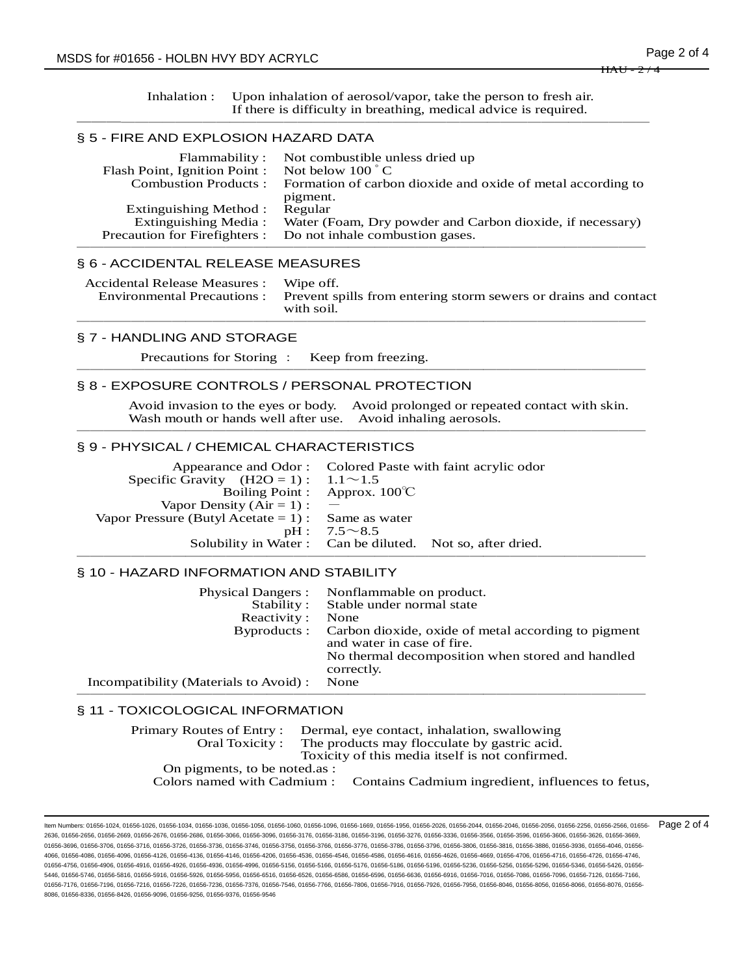Inhalation : Upon inhalation of aerosol/vapor, take the person to fresh air. If there is difficulty in breathing, medical advice is required. ──────────────────────────────────────────

## § 5 - FIRE AND EXPLOSION HAZARD DATA

| Flammability:                       | Not combustible unless dried up                             |
|-------------------------------------|-------------------------------------------------------------|
| Flash Point, Ignition Point :       | Not below $100^{\circ}$ C                                   |
| <b>Combustion Products:</b>         | Formation of carbon dioxide and oxide of metal according to |
|                                     | pigment.                                                    |
| Extinguishing Method :              | Regular                                                     |
| Extinguishing Media:                | Water (Foam, Dry powder and Carbon dioxide, if necessary)   |
| <b>Precaution for Firefighters:</b> | Do not inhale combustion gases.                             |
|                                     |                                                             |

# § 6 - ACCIDENTAL RELEASE MEASURES

| Accidental Release Measures : Wipe off. | Environmental Precautions : Prevent spills from entering storm sewers or drains and contact<br>with soil. |
|-----------------------------------------|-----------------------------------------------------------------------------------------------------------|
|                                         |                                                                                                           |

#### § 7 - HANDLING AND STORAGE

Precautions for Storing : Keep from freezing. ──────────────────────────────────────────

## § 8 - EXPOSURE CONTROLS / PERSONAL PROTECTION

Avoid invasion to the eyes or body. Avoid prolonged or repeated contact with skin. Wash mouth or hands well after use. Avoid inhaling aerosols. ──────────────────────────────────────────

# § 9 - PHYSICAL / CHEMICAL CHARACTERISTICS

|                                                    | Appearance and Odor: Colored Paste with faint acrylic odor |
|----------------------------------------------------|------------------------------------------------------------|
| Specific Gravity $(H2O = 1): 1.1 \sim 1.5$         |                                                            |
|                                                    | Boiling Point : Approx. $100^{\circ}$ C                    |
| Vapor Density $(Air = 1)$ : -                      |                                                            |
| Vapor Pressure (Butyl Acetate = 1) : Same as water |                                                            |
|                                                    | $pH: 7.5 \sim 8.5$                                         |
|                                                    | Solubility in Water: Can be diluted. Not so, after dried.  |
|                                                    |                                                            |

## § 10 - HAZARD INFORMATION AND STABILITY

| <b>Physical Dangers:</b>               | Nonflammable on product.                                                          |
|----------------------------------------|-----------------------------------------------------------------------------------|
| Stability:                             | Stable under normal state                                                         |
| Reactivity:                            | None                                                                              |
| Byproducts:                            | Carbon dioxide, oxide of metal according to pigment<br>and water in case of fire. |
|                                        | No thermal decomposition when stored and handled<br>correctly.                    |
| Incompatibility (Materials to Avoid) : | None                                                                              |
|                                        |                                                                                   |

# § 11 - TOXICOLOGICAL INFORMATION

| Oral Toxicity:               | Primary Routes of Entry: Dermal, eye contact, inhalation, swallowing<br>The products may flocculate by gastric acid. |  |  |
|------------------------------|----------------------------------------------------------------------------------------------------------------------|--|--|
|                              | Toxicity of this media itself is not confirmed.                                                                      |  |  |
| On pigments, to be noted as: |                                                                                                                      |  |  |
|                              | Colors named with Cadmium : Contains Cadmium ingredient, influences to fetus,                                        |  |  |

ltem Numbers: 01656-1024, 01656-1026, 01656-1034, 01656-1036, 01656-1056, 01656-1060, 01656-1096, 01656-1096, 01656-2056, 01656-2026, 01656-2044, 01656-2046, 01656-2056, 01656-2056, 01656-2566, 01656-2566, 01656-2566, 0165 2636, 01656-2656, 01656-2669, 01656-2676, 01656-2686, 01656-3096, 01656-3176, 01656-3186, 01656-3196, 01656-3276, 01656-3336, 01656-3566, 01656-3506, 01656-3606, 01656-3626, 01656-3526, 01656-3506, 01656-3626, 01656-3626, 0 01656-3696, 01656-3706, 01656-3716, 01656-3726, 01656-3736, 01656-3746, 01656-3756, 01656-3766, 01656-3776, 01656-3786, 01656-3796, 01656-3806, 01656-3816, 01656-3886, 01656-3936, 01656-4046, 01656- 4066, 01656-4086, 01656-4096, 01656-4126, 01656-4136, 01656-4146, 01656-4206, 01656-4536, 01656-4546, 01656-4586, 01656-4616, 01656-4626, 01656-4669, 01656-4706, 01656-4716, 01656-4726, 01656-4746, 01656-4756, 01656-4906, 01656-4916, 01656-4926, 01656-4936, 01656-5156, 01656-5166, 01656-5176, 01656-5186, 01656-5286, 01656-5236, 01656-5256, 01656-5296, 01656-5296, 01656-5296, 01656-5296, 01656-5296, 01656-5236, 01656-5 5446, 01656-5746, 01656-5816, 01656-5916, 01656-5926, 01656-5956, 01656-6516, 01656-6586, 01656-6596, 01656-6586, 01656-6916, 01656-6916, 01656-7086, 01656-7096, 01656-7096, 01656-7096, 01656-7096, 01656-7096, 01656-7126, 0 01656-7176, 01656-7196, 01656-7216, 01656-7226, 01656-7376, 01656-7376, 01656-7546, 01656-79766, 01656-7906, 01656-7916, 01656-7926, 01656-7956, 01656-8046, 01656-8056, 01656-8066, 01656-8056, 01656-8066, 01656-8076, 01656-8086, 01656-8336, 01656-8426, 01656-9096, 01656-9256, 01656-9376, 01656-9546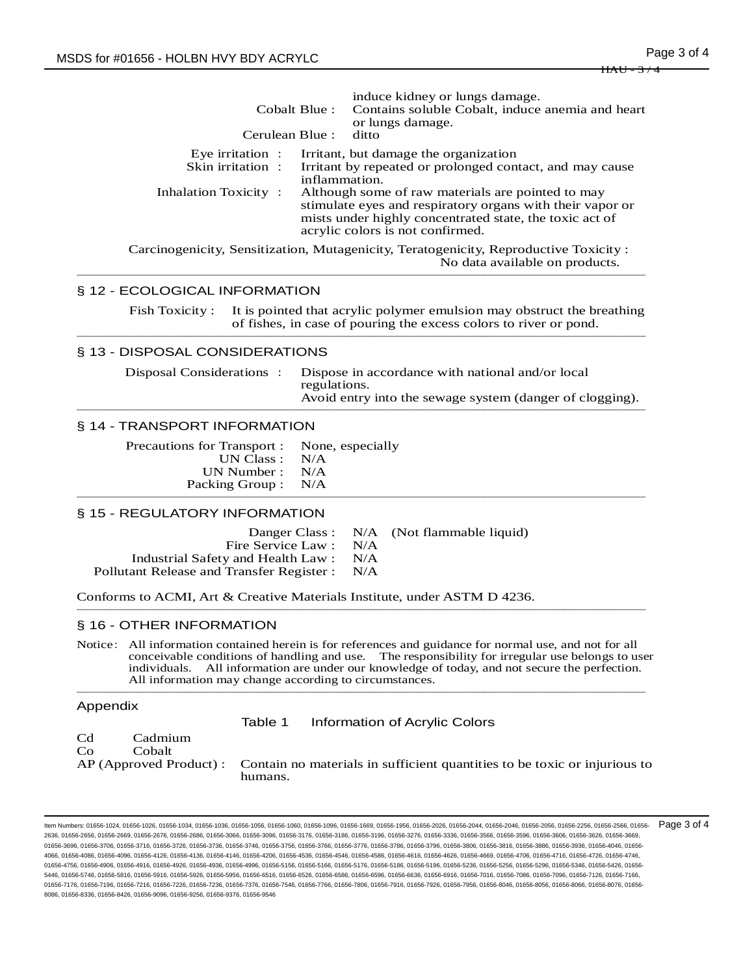| Cerulean Blue:                                                                      | induce kidney or lungs damage.<br>Cobalt Blue: Contains soluble Cobalt, induce anemia and heart<br>or lungs damage.<br>ditto                                                                                                                                                                                       |
|-------------------------------------------------------------------------------------|--------------------------------------------------------------------------------------------------------------------------------------------------------------------------------------------------------------------------------------------------------------------------------------------------------------------|
| Eye irritation $\cdot$<br>Skin irritation:<br>inflammation.<br>Inhalation Toxicity: | Irritant, but damage the organization<br>Irritant by repeated or prolonged contact, and may cause<br>Although some of raw materials are pointed to may<br>stimulate eyes and respiratory organs with their vapor or<br>mists under highly concentrated state, the toxic act of<br>acrylic colors is not confirmed. |
|                                                                                     | Carcinogenicity, Sensitization, Mutagenicity, Teratogenicity, Reproductive Toxicity:                                                                                                                                                                                                                               |

No data available on products.

## § 12 - ECOLOGICAL INFORMATION

Fish Toxicity : It is pointed that acrylic polymer emulsion may obstruct the breathing of fishes, in case of pouring the excess colors to river or pond. ──────────────────────────────────────────

──────────────────────────────────────────

# § 13 - DISPOSAL CONSIDERATIONS

Disposal Considerations : Dispose in accordance with national and/or local regulations. Avoid entry into the sewage system (danger of clogging). ──────────────────────────────────────────

# § 14 - TRANSPORT INFORMATION

Precautions for Transport : None, especially UN Class : N/A UN Number : N/A Packing Group : N/A ──────────────────────────────────────────

#### § 15 - REGULATORY INFORMATION

Danger Class : N/A (Not flammable liquid) Fire Service Law : N/A Industrial Safety and Health Law : N/A Pollutant Release and Transfer Register : N/A

Conforms to ACMI, Art & Creative Materials Institute, under ASTM D 4236. ──────────────────────────────────────────

#### § 16 - OTHER INFORMATION

Notice: All information contained herein is for references and guidance for normal use, and not for all conceivable conditions of handling and use. The responsibility for irregular use belongs to user individuals. All information are under our knowledge of today, and not secure the perfection. All information may change according to circumstances. ──────────────────────────────────────────

#### Appendix

Table 1 Information of Acrylic Colors

Cd Cadmium

Co Cobalt

AP (Approved Product) : Contain no materials in sufficient quantities to be toxic or injurious to humans.

Item Numbers: 01656-1024, 01656-1026, 01656-1034, 01656-1036, 01656-1056, 01656-1060, 01656-1096, 01656-1669, 01656-1956, 01656-2026, 01656-2044, 01656-2046, 01656-2056, 01656-2256, 01656-2566, 01656- 2636, 01656-2656, 01656-2669, 01656-2676, 01656-2686, 01656-3066, 01656-3096, 01656-3176, 01656-3186, 01656-3196, 01656-3276, 01656-3336, 01656-3566, 01656-3596, 01656-3596, 01656-3596, 01656-3596, 01656-3606, 01656-3626, 0 01656-3696, 01656-3706, 01656-3716, 01656-3726, 01656-3736, 01656-3746, 01656-3756, 01656-3766, 01656-3776, 01656-3786, 01656-3796, 01656-3806, 01656-3816, 01656-3886, 01656-3936, 01656-4046, 01656- 4066, 01656-4086, 01656-4096, 01656-4126, 01656-4136, 01656-4146, 01656-4206, 01656-4536, 01656-4546, 01656-4586, 01656-4616, 01656-4626, 01656-4669, 01656-4706, 01656-4716, 01656-4726, 01656-4746, 01656-4756, 01656-4906, 01656-4916, 01656-4926, 01656-4936, 01656-4996, 01656-5156, 01656-5166, 01656-5176, 01656-5186, 01656-5196, 01656-5236, 01656-5256, 01656-5296, 01656-5346, 01656-5426, 01656-5346, 01656-5426, 01656-5 5446, 01656-5746, 01656-5816, 01656-5916, 01656-5926, 01656-5956, 01656-6516, 01656-6526, 01656-6586, 01656-6596, 01656-6636, 01656-6916, 01656-7016, 01656-7086, 01656-7096, 01656-7126, 01656-7166, 01656-7176, 01656-7196, 01656-7216, 01656-7226, 01656-7376, 01656-7546, 01656-7766, 01656-7906, 01656-7916, 01656-7926, 01656-7956, 01656-8046, 01656-8056, 01656-8066, 01656-8076, 01656-7976, 01656-8046, 01656-8076, 01656-8 8086, 01656-8336, 01656-8426, 01656-9096, 01656-9256, 01656-9376, 01656-9546 Page 3 of 4